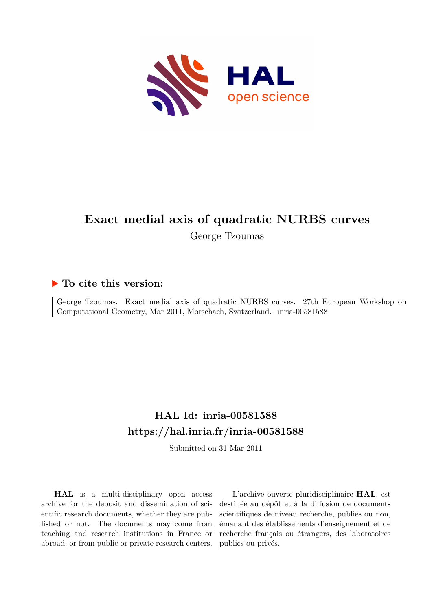

# **Exact medial axis of quadratic NURBS curves**

George Tzoumas

## **To cite this version:**

George Tzoumas. Exact medial axis of quadratic NURBS curves. 27th European Workshop on Computational Geometry, Mar 2011, Morschach, Switzerland. inria-00581588

# **HAL Id: inria-00581588 <https://hal.inria.fr/inria-00581588>**

Submitted on 31 Mar 2011

**HAL** is a multi-disciplinary open access archive for the deposit and dissemination of scientific research documents, whether they are published or not. The documents may come from teaching and research institutions in France or abroad, or from public or private research centers.

L'archive ouverte pluridisciplinaire **HAL**, est destinée au dépôt et à la diffusion de documents scientifiques de niveau recherche, publiés ou non, émanant des établissements d'enseignement et de recherche français ou étrangers, des laboratoires publics ou privés.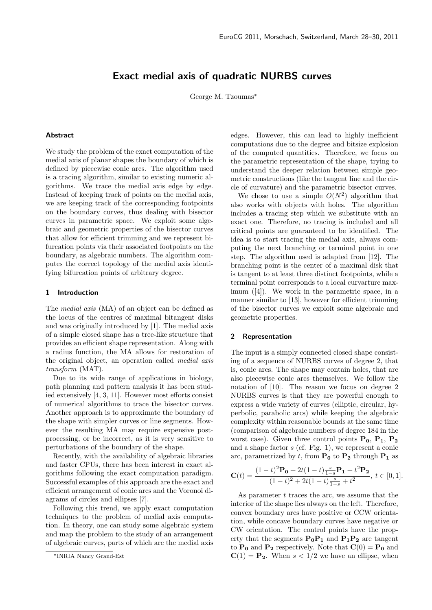### Exact medial axis of quadratic NURBS curves

George M. Tzoumas<sup>∗</sup>

#### Abstract

We study the problem of the exact computation of the medial axis of planar shapes the boundary of which is defined by piecewise conic arcs. The algorithm used is a tracing algorithm, similar to existing numeric algorithms. We trace the medial axis edge by edge. Instead of keeping track of points on the medial axis, we are keeping track of the corresponding footpoints on the boundary curves, thus dealing with bisector curves in parametric space. We exploit some algebraic and geometric properties of the bisector curves that allow for efficient trimming and we represent bifurcation points via their associated footpoints on the boundary, as algebraic numbers. The algorithm computes the correct topology of the medial axis identifying bifurcation points of arbitrary degree.

#### 1 Introduction

The *medial axis* (MA) of an object can be defined as the locus of the centres of maximal bitangent disks and was originally introduced by [1]. The medial axis of a simple closed shape has a tree-like structure that provides an efficient shape representation. Along with a radius function, the MA allows for restoration of the original object, an operation called *medial axis transform* (MAT).

Due to its wide range of applications in biology, path planning and pattern analysis it has been studied extensively [4, 3, 11]. However most efforts consist of numerical algorithms to trace the bisector curves. Another approach is to approximate the boundary of the shape with simpler curves or line segments. However the resulting MA may require expensive postprocessing, or be incorrect, as it is very sensitive to perturbations of the boundary of the shape.

Recently, with the availability of algebraic libraries and faster CPUs, there has been interest in exact algorithms following the exact computation paradigm. Successful examples of this approach are the exact and efficient arrangement of conic arcs and the Voronoi diagrams of circles and ellipses [7].

Following this trend, we apply exact computation techniques to the problem of medial axis computation. In theory, one can study some algebraic system and map the problem to the study of an arrangement of algebraic curves, parts of which are the medial axis edges. However, this can lead to highly inefficient computations due to the degree and bitsize explosion of the computed quantities. Therefore, we focus on the parametric representation of the shape, trying to understand the deeper relation between simple geometric constructions (like the tangent line and the circle of curvature) and the parametric bisector curves.

We chose to use a simple  $O(N^2)$  algorithm that also works with objects with holes. The algorithm includes a tracing step which we substitute with an exact one. Therefore, no tracing is included and all critical points are guaranteed to be identified. The idea is to start tracing the medial axis, always computing the next branching or terminal point in one step. The algorithm used is adapted from [12]. The branching point is the center of a maximal disk that is tangent to at least three distinct footpoints, while a terminal point corresponds to a local curvarture maximum ([4]). We work in the parametric space, in a manner similar to [13], however for efficient trimming of the bisector curves we exploit some algebraic and geometric properties.

#### 2 Representation

The input is a simply connected closed shape consisting of a sequence of NURBS curves of degree 2, that is, conic arcs. The shape may contain holes, that are also piecewise conic arcs themselves. We follow the notation of [10]. The reason we focus on degree 2 NURBS curves is that they are powerful enough to express a wide variety of curves (elliptic, circular, hyperbolic, parabolic arcs) while keeping the algebraic complexity within reasonable bounds at the same time (comparison of algebraic numbers of degree 184 in the worst case). Given three control points  $P_0$ ,  $P_1$ ,  $P_2$ and a shape factor  $s$  (cf. Fig. 1), we represent a conic arc, parametrized by t, from  $P_0$  to  $P_2$  through  $P_1$  as

$$
\mathbf{C}(t) = \frac{(1-t)^2 \mathbf{P_0} + 2t(1-t)\frac{s}{1-s} \mathbf{P_1} + t^2 \mathbf{P_2}}{(1-t)^2 + 2t(1-t)\frac{s}{1-s} + t^2}, \ t \in [0,1].
$$

As parameter  $t$  traces the arc, we assume that the interior of the shape lies always on the left. Therefore, convex boundary arcs have positive or CCW orientation, while concave boundary curves have negative or CW orientation. The control points have the property that the segments  $P_0P_1$  and  $P_1P_2$  are tangent to  $P_0$  and  $P_2$  respectively. Note that  $C(0) = P_0$  and  $C(1) = P_2$ . When  $s < 1/2$  we have an ellipse, when

<sup>∗</sup>INRIA Nancy Grand-Est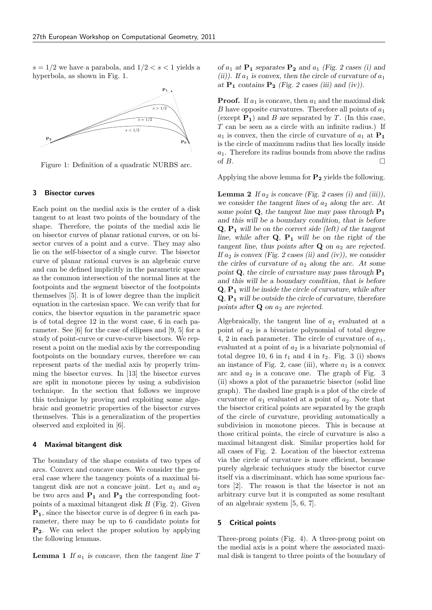$s = 1/2$  we have a parabola, and  $1/2 < s < 1$  yields a hyperbola, as shown in Fig. 1.



Figure 1: Definition of a quadratic NURBS arc.

#### 3 Bisector curves

Each point on the medial axis is the center of a disk tangent to at least two points of the boundary of the shape. Therefore, the points of the medial axis lie on bisector curves of planar rational curves, or on bisector curves of a point and a curve. They may also lie on the self-bisector of a single curve. The bisector curve of planar rational curves is an algebraic curve and can be defined implicitly in the parametric space as the common intersection of the normal lines at the footpoints and the segment bisector of the footpoints themselves [5]. It is of lower degree than the implicit equation in the cartesian space. We can verify that for conics, the bisector equation in the parametric space is of total degree 12 in the worst case, 6 in each parameter. See [6] for the case of ellipses and [9, 5] for a study of point-curve or curve-curve bisectors. We represent a point on the medial axis by the corresponding footpoints on the boundary curves, therefore we can represent parts of the medial axis by properly trimming the bisector curves. In [13] the bisector curves are split in monotone pieces by using a subdivision technique. In the section that follows we improve this technique by proving and exploiting some algebraic and geometric properties of the bisector curves themselves. This is a generalization of the properties observed and exploited in [6].

#### 4 Maximal bitangent disk

The boundary of the shape consists of two types of arcs. Convex and concave ones. We consider the general case where the tangency points of a maximal bitangent disk are not a concave joint. Let  $a_1$  and  $a_2$ be two arcs and  $P_1$  and  $P_2$  the corresponding footpoints of a maximal bitangent disk  $B$  (Fig. 2). Given P1, since the bisector curve is of degree 6 in each parameter, there may be up to 6 candidate points for P2. We can select the proper solution by applying the following lemmas.

**Lemma 1** If  $a_1$  is concave, then the tangent line T

of  $a_1$  at  $P_1$  separates  $P_2$  and  $a_1$  (Fig. 2 cases (i) and (ii)). If  $a_1$  is convex, then the circle of curvature of  $a_1$ at  $P_1$  contains  $P_2$  (Fig. 2 cases (iii) and (iv)).

**Proof.** If  $a_1$  is concave, then  $a_1$  and the maximal disk B have opposite curvatures. Therefore all points of  $a_1$ (except  $P_1$ ) and B are separated by T. (In this case, T can be seen as a circle with an infinite radius.) If  $a_1$  is convex, then the circle of curvature of  $a_1$  at  $P_1$ is the circle of maximum radius that lies locally inside  $a_1$ . Therefore its radius bounds from above the radius of  $B$ .

Applying the above lemma for  $P_2$  yields the following.

**Lemma 2** If  $a_2$  is concave (Fig. 2 cases (i) and (iii)), we consider the tangent lines of  $a_2$  along the arc. At some point  $Q$ , the tangent line may pass through  $P_1$ and this will be a boundary condition, that is before  $Q, P_1$  will be on the correct side (left) of the tangent line, while after  $Q$ ,  $P_1$  will be on the right of the tangent line, thus points after  $Q$  on  $a_2$  are rejected. If  $a_2$  is convex (Fig. 2 cases (ii) and (iv)), we consider the cirles of curvature of  $a_2$  along the arc. At some point **Q**, the circle of curvature may pass through  $P_1$ and this will be a boundary condition, that is before  $Q, P_1$  will be inside the circle of curvature, while after  $Q, P_1$  will be outside the circle of curvature, therefore points after  $Q$  on  $a_2$  are rejected.

Algebraically, the tangent line of  $a_1$  evaluated at a point of  $a_2$  is a bivariate polynomial of total degree 4, 2 in each parameter. The circle of curvature of  $a_1$ , evaluated at a point of  $a_2$  is a bivariate polynomial of total degree 10, 6 in  $t_1$  and 4 in  $t_2$ . Fig. 3 (i) shows an instance of Fig. 2, case (iii), where  $a_1$  is a convex arc and  $a_2$  is a concave one. The graph of Fig. 3 (ii) shows a plot of the parametric bisector (solid line graph). The dashed line graph is a plot of the circle of curvature of  $a_1$  evaluated at a point of  $a_2$ . Note that the bisector critical points are separated by the graph of the circle of curvature, providing automatically a subdivision in monotone pieces. This is because at those critical points, the circle of curvature is also a maximal bitangent disk. Similar properties hold for all cases of Fig. 2. Location of the bisector extrema via the circle of curvature is more efficient, because purely algebraic techniques study the bisector curve itself via a discriminant, which has some spurious factors [2]. The reason is that the bisector is not an arbitrary curve but it is computed as some resultant of an algebraic system [5, 6, 7].

#### 5 Critical points

Three-prong points (Fig. 4). A three-prong point on the medial axis is a point where the associated maximal disk is tangent to three points of the boundary of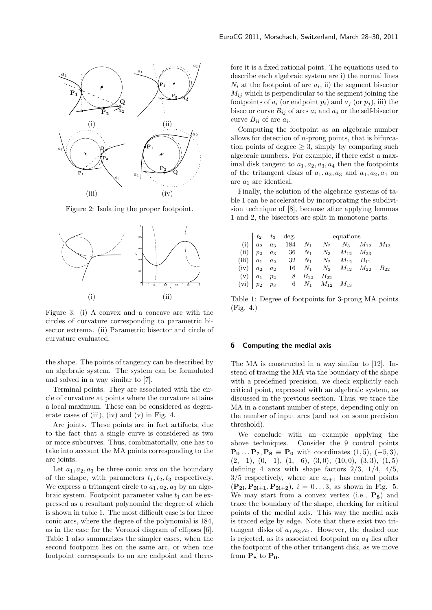

Figure 2: Isolating the proper footpoint.



Figure 3: (i) A convex and a concave arc with the circles of curvature corresponding to parametric bisector extrema. (ii) Parametric bisector and circle of curvature evaluated.

the shape. The points of tangency can be described by an algebraic system. The system can be formulated and solved in a way similar to [7].

Terminal points. They are associated with the circle of curvature at points where the curvature attains a local maximum. These can be considered as degenerate cases of (iii), (iv) and (v) in Fig. 4.

Arc joints. These points are in fact artifacts, due to the fact that a single curve is considered as two or more subcurves. Thus, combinatorially, one has to take into account the MA points corresponding to the arc joints.

Let  $a_1, a_2, a_3$  be three conic arcs on the boundary of the shape, with parameters  $t_1, t_2, t_3$  respectively. We express a tritangent circle to  $a_1, a_2, a_3$  by an algebraic system. Footpoint parameter value  $t_1$  can be expressed as a resultant polynomial the degree of which is shown in table 1. The most difficult case is for three conic arcs, where the degree of the polynomial is 184, as in the case for the Voronoi diagram of ellipses [6]. Table 1 also summarizes the simpler cases, when the second footpoint lies on the same arc, or when one footpoint corresponds to an arc endpoint and therefore it is a fixed rational point. The equations used to describe each algebraic system are i) the normal lines  $N_i$  at the footpoint of arc  $a_i$ , ii) the segment bisector  $M_{ij}$  which is perpendicular to the segment joining the footpoints of  $a_i$  (or endpoint  $p_i$ ) and  $a_j$  (or  $p_j$ ), iii) the bisector curve  $B_{ij}$  of arcs  $a_i$  and  $a_j$  or the self-bisector curve  $B_{ii}$  of arc  $a_i$ .

Computing the footpoint as an algebraic number allows for detection of  $n$ -prong points, that is bifurcation points of degree  $\geq$  3, simply by comparing such algebraic numbers. For example, if there exist a maximal disk tangent to  $a_1, a_2, a_3, a_4$  then the footpoints of the tritangent disks of  $a_1, a_2, a_3$  and  $a_1, a_2, a_4$  on arc $a_1$  are identical.

Finally, the solution of the algebraic systems of table 1 can be accelerated by incorporating the subdivision technique of [8], because after applying lemmas 1 and 2, the bisectors are split in monotone parts.

|               |       |       | $t_2$ $t_3$ $\deg$ .         | equations |                                                                |  |                                                   |          |
|---------------|-------|-------|------------------------------|-----------|----------------------------------------------------------------|--|---------------------------------------------------|----------|
|               | $a_2$ |       |                              |           |                                                                |  | $a_3$   184   $N_1$ $N_2$ $N_3$ $M_{12}$ $M_{13}$ |          |
| $(ii)   p_2$  |       |       |                              |           | $a_3$   36   $N_1$ $N_3$ $M_{12}$ $M_{23}$                     |  |                                                   |          |
| (iii) $ a_1 $ |       |       |                              |           | $a_2$ 32 $N_1$ $N_2$ $M_{12}$ $B_{11}$                         |  |                                                   |          |
| $(iv)   a_2$  |       | $a_2$ |                              |           |                                                                |  | $16 \mid N_1 \quad N_2 \quad M_{12} \quad M_{22}$ | $B_{22}$ |
| $(v)   a_1$   |       | $p_2$ | $8 \mid B_{12} \quad B_{22}$ |           |                                                                |  |                                                   |          |
|               |       |       |                              |           | (vi) $p_2 \quad p_3 \mid 6 \mid N_1 \quad M_{12} \quad M_{13}$ |  |                                                   |          |

Table 1: Degree of footpoints for 3-prong MA points (Fig. 4.)

#### 6 Computing the medial axis

The MA is constructed in a way similar to [12]. Instead of tracing the MA via the boundary of the shape with a predefined precision, we check explicitly each critical point, expressed with an algebraic system, as discussed in the previous section. Thus, we trace the MA in a constant number of steps, depending only on the number of input arcs (and not on some precision threshold).

We conclude with an example applying the above techniques. Consider the 9 control points  $\mathbf{P}_0 \dots \mathbf{P}_7$ ,  $\mathbf{P}_8 \equiv \mathbf{P}_0$  with coordinates  $(1, 5)$ ,  $(-5, 3)$ ,  $(2, -1), (0, -1), (1, -6), (3, 0), (10, 0), (3, 3), (1, 5)$ defining 4 arcs with shape factors  $2/3$ ,  $1/4$ ,  $4/5$ ,  $3/5$  respectively, where arc  $a_{i+1}$  has control points  $({\bf P}_{2i}, {\bf P}_{2i+1}, {\bf P}_{2i+2}), i = 0...3$ , as shown in Fig. 5. We may start from a convex vertex (i.e.,  $P_8$ ) and trace the boundary of the shape, checking for critical points of the medial axis. This way the medial axis is traced edge by edge. Note that there exist two tritangent disks of  $a_1, a_3, a_4$ . However, the dashed one is rejected, as its associated footpoint on  $a_4$  lies after the footpoint of the other tritangent disk, as we move from  $P_8$  to  $P_0$ .